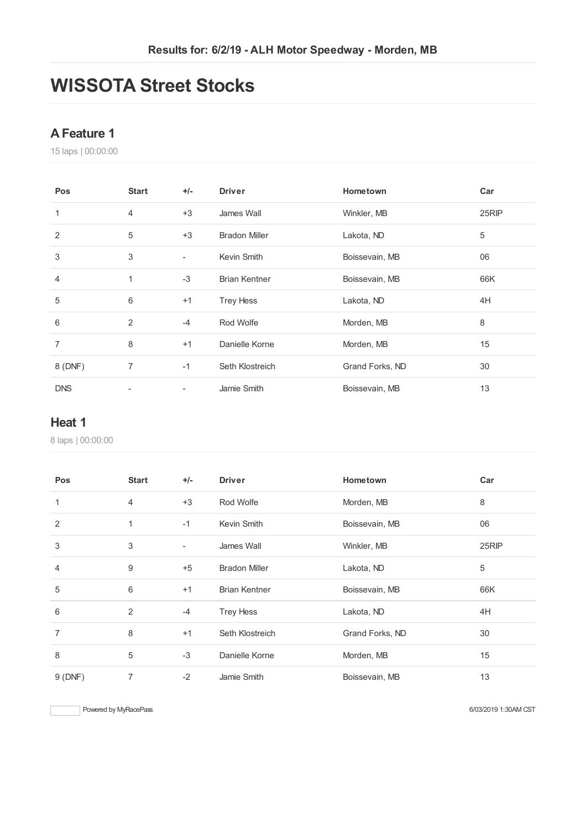# **WISSOTA Street Stocks**

### **AFeature 1**

laps | 00:00:00

| <b>Pos</b>     | <b>Start</b>             | $+/-$                    | <b>Driver</b>        | Hometown        | Car   |
|----------------|--------------------------|--------------------------|----------------------|-----------------|-------|
| 1              | $\overline{4}$           | $+3$                     | James Wall           | Winkler, MB     | 25RIP |
| $\overline{2}$ | 5                        | $+3$                     | <b>Bradon Miller</b> | Lakota, ND      | 5     |
| 3              | 3                        | $\overline{\phantom{a}}$ | Kevin Smith          | Boissevain, MB  | 06    |
| 4              | 1                        | $-3$                     | <b>Brian Kentner</b> | Boissevain, MB  | 66K   |
| 5              | $6\,$                    | $+1$                     | <b>Trey Hess</b>     | Lakota, ND      | 4H    |
| 6              | 2                        | $-4$                     | Rod Wolfe            | Morden, MB      | 8     |
| $\overline{7}$ | 8                        | $+1$                     | Danielle Korne       | Morden, MB      | 15    |
| 8 (DNF)        | $\overline{7}$           | $-1$                     | Seth Klostreich      | Grand Forks, ND | 30    |
| <b>DNS</b>     | $\overline{\phantom{0}}$ | $\overline{\phantom{a}}$ | Jamie Smith          | Boissevain, MB  | 13    |

#### **Heat 1**

laps | 00:00:00

| Pos            | <b>Start</b>   | $+/-$                    | <b>Driver</b>        | Hometown        | Car   |
|----------------|----------------|--------------------------|----------------------|-----------------|-------|
| 1              | 4              | $+3$                     | Rod Wolfe            | Morden, MB      | 8     |
| 2              | 1              | $-1$                     | Kevin Smith          | Boissevain, MB  | 06    |
| $\mathbf{3}$   | 3              | $\overline{\phantom{a}}$ | James Wall           | Winkler, MB     | 25RIP |
| $\overline{4}$ | 9              | $+5$                     | <b>Bradon Miller</b> | Lakota, ND      | 5     |
| 5              | 6              | $+1$                     | <b>Brian Kentner</b> | Boissevain, MB  | 66K   |
| 6              | $\overline{2}$ | $-4$                     | <b>Trey Hess</b>     | Lakota, ND      | 4H    |
| $\overline{7}$ | 8              | $+1$                     | Seth Klostreich      | Grand Forks, ND | 30    |
| 8              | 5              | $-3$                     | Danielle Korne       | Morden, MB      | 15    |
| 9(DNF)         | $\overline{7}$ | $-2$                     | Jamie Smith          | Boissevain, MB  | 13    |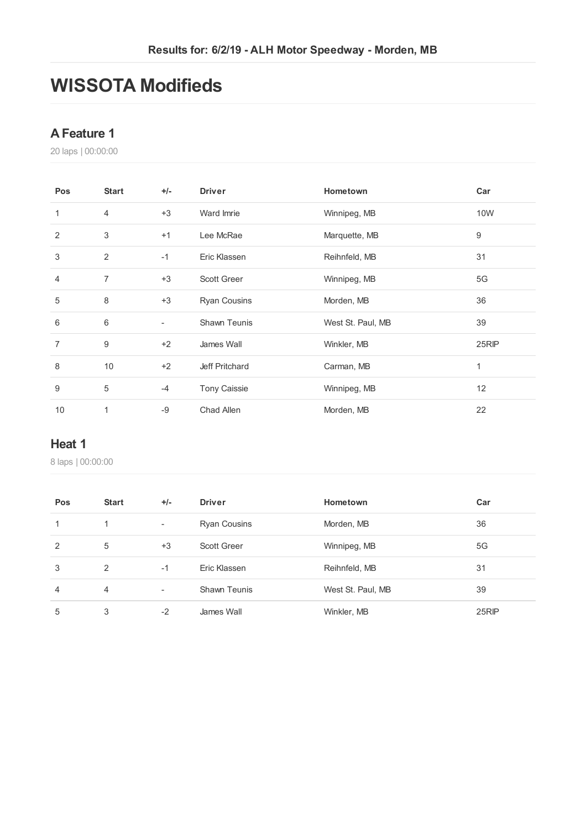# **WISSOTA Modifieds**

### **AFeature 1**

laps | 00:00:00

| Pos            | <b>Start</b>     | $+/-$ | <b>Driver</b>       | Hometown          | Car          |
|----------------|------------------|-------|---------------------|-------------------|--------------|
| 1              | $\overline{4}$   | $+3$  | Ward Imrie          | Winnipeg, MB      | 10W          |
| 2              | 3                | $+1$  | Lee McRae           | Marquette, MB     | 9            |
| 3              | $\overline{2}$   | $-1$  | Eric Klassen        | Reihnfeld, MB     | 31           |
| $\overline{4}$ | $\overline{7}$   | $+3$  | <b>Scott Greer</b>  | Winnipeg, MB      | 5G           |
| 5              | 8                | $+3$  | <b>Ryan Cousins</b> | Morden, MB        | 36           |
| 6              | 6                | ٠     | <b>Shawn Teunis</b> | West St. Paul, MB | 39           |
| 7              | $\boldsymbol{9}$ | $+2$  | James Wall          | Winkler, MB       | 25RIP        |
| 8              | 10               | $+2$  | Jeff Pritchard      | Carman, MB        | $\mathbf{1}$ |
| 9              | 5                | $-4$  | <b>Tony Caissie</b> | Winnipeg, MB      | 12           |
| 10             | 1                | $-9$  | Chad Allen          | Morden, MB        | 22           |

### **Heat 1**

laps | 00:00:00

| Pos            | <b>Start</b>   | $+/-$                    | <b>Driver</b>       | Hometown          | Car   |
|----------------|----------------|--------------------------|---------------------|-------------------|-------|
| 1              |                | $\overline{\phantom{a}}$ | <b>Ryan Cousins</b> | Morden, MB        | 36    |
| 2              | 5              | $+3$                     | Scott Greer         | Winnipeg, MB      | 5G    |
| 3              | 2              | $-1$                     | Eric Klassen        | Reihnfeld, MB     | 31    |
| $\overline{4}$ | $\overline{4}$ | $\overline{\phantom{a}}$ | <b>Shawn Teunis</b> | West St. Paul, MB | 39    |
| 5              | 3              | $-2$                     | James Wall          | Winkler, MB       | 25RIP |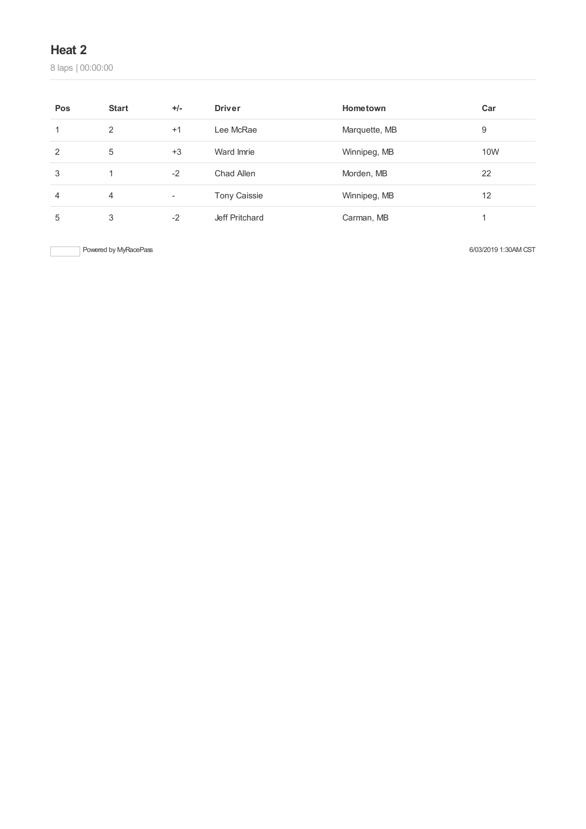## **Heat 2**

laps | 00:00:00

| Pos | <b>Start</b>   | $+/-$                    | <b>Driver</b>       | Hometown      | Car |
|-----|----------------|--------------------------|---------------------|---------------|-----|
|     | 2              | $+1$                     | Lee McRae           | Marquette, MB | 9   |
| 2   | 5              | $+3$                     | Ward Imrie          | Winnipeg, MB  | 10W |
| 3   |                | $-2$                     | Chad Allen          | Morden, MB    | 22  |
| 4   | $\overline{4}$ | $\overline{\phantom{a}}$ | <b>Tony Caissie</b> | Winnipeg, MB  | 12  |
| 5   | 3              | $-2$                     | Jeff Pritchard      | Carman, MB    |     |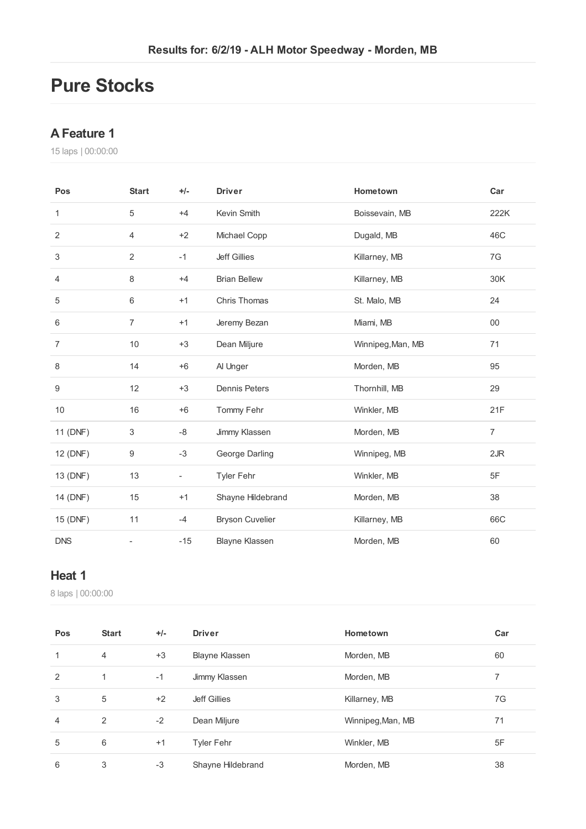# **Pure Stocks**

#### **AFeature 1**

laps | 00:00:00

| Pos              | <b>Start</b>   | $+/-$                    | <b>Driver</b>          | Hometown          | Car            |
|------------------|----------------|--------------------------|------------------------|-------------------|----------------|
| 1                | 5              | $+4$                     | Kevin Smith            | Boissevain, MB    | 222K           |
| $\overline{2}$   | 4              | $+2$                     | Michael Copp           | Dugald, MB        | 46C            |
| 3                | $\overline{2}$ | $-1$                     | <b>Jeff Gillies</b>    | Killarney, MB     | 7G             |
| 4                | 8              | $+4$                     | <b>Brian Bellew</b>    | Killarney, MB     | 30K            |
| 5                | 6              | $+1$                     | Chris Thomas           | St. Malo, MB      | 24             |
| 6                | $\overline{7}$ | $+1$                     | Jeremy Bezan           | Miami, MB         | 00             |
| $\overline{7}$   | 10             | $+3$                     | Dean Miljure           | Winnipeg, Man, MB | 71             |
| 8                | 14             | $+6$                     | Al Unger               | Morden, MB        | 95             |
| $\boldsymbol{9}$ | 12             | $+3$                     | <b>Dennis Peters</b>   | Thornhill, MB     | 29             |
| 10               | 16             | $+6$                     | Tommy Fehr             | Winkler, MB       | 21F            |
| 11 (DNF)         | 3              | -8                       | Jimmy Klassen          | Morden, MB        | $\overline{7}$ |
| 12 (DNF)         | 9              | $-3$                     | George Darling         | Winnipeg, MB      | 2JR            |
| 13 (DNF)         | 13             | $\overline{\phantom{a}}$ | Tyler Fehr             | Winkler, MB       | 5F             |
| 14 (DNF)         | 15             | $+1$                     | Shayne Hildebrand      | Morden, MB        | 38             |
| 15 (DNF)         | 11             | $-4$                     | <b>Bryson Cuvelier</b> | Killarney, MB     | 66C            |
| <b>DNS</b>       |                | $-15$                    | <b>Blayne Klassen</b>  | Morden, MB        | 60             |

# **Heat 1**

laps | 00:00:00

| Pos            | <b>Start</b> | $+/-$ | <b>Driver</b>         | Hometown          | Car |
|----------------|--------------|-------|-----------------------|-------------------|-----|
| 1              | 4            | $+3$  | <b>Blayne Klassen</b> | Morden, MB        | 60  |
| 2              | 1            | $-1$  | Jimmy Klassen         | Morden, MB        | 7   |
| 3              | 5            | $+2$  | Jeff Gillies          | Killarney, MB     | 7G  |
| $\overline{4}$ | 2            | $-2$  | Dean Miljure          | Winnipeg, Man, MB | 71  |
| 5              | 6            | $+1$  | Tyler Fehr            | Winkler, MB       | 5F  |
| 6              | 3            | $-3$  | Shayne Hildebrand     | Morden, MB        | 38  |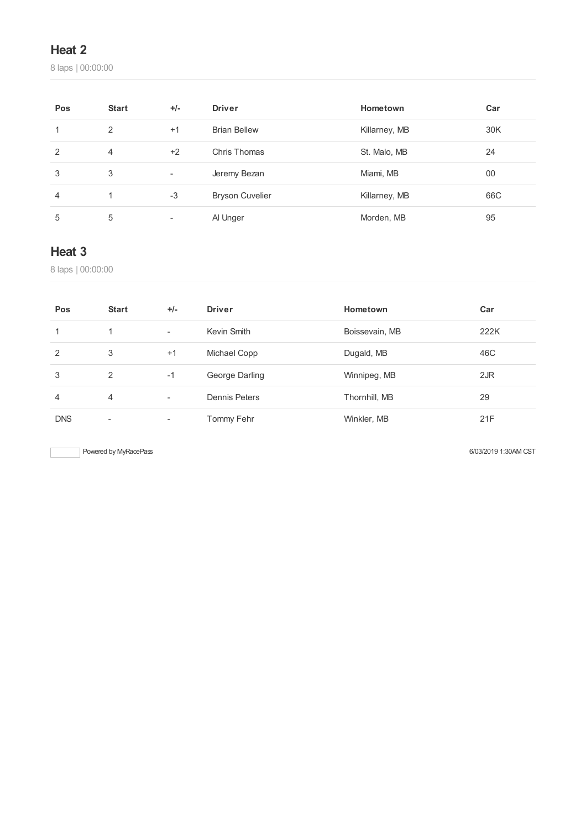# **Heat 2**

laps | 00:00:00

| Pos           | <b>Start</b> | $+/-$                    | <b>Driver</b>          | Hometown      | Car |
|---------------|--------------|--------------------------|------------------------|---------------|-----|
| 1             | 2            | $+1$                     | <b>Brian Bellew</b>    | Killarney, MB | 30K |
| $\mathcal{P}$ | 4            | $+2$                     | Chris Thomas           | St. Malo, MB  | 24  |
| 3             | 3            | $\overline{\phantom{a}}$ | Jeremy Bezan           | Miami, MB     | 00  |
| 4             |              | $-3$                     | <b>Bryson Cuvelier</b> | Killarney, MB | 66C |
| 5             | 5            | $\overline{\phantom{a}}$ | Al Unger               | Morden, MB    | 95  |

## **Heat 3**

laps | 00:00:00

| Pos           | <b>Start</b>             | $+/-$                    | <b>Driver</b>  | Hometown       | Car  |
|---------------|--------------------------|--------------------------|----------------|----------------|------|
|               |                          | $\overline{\phantom{a}}$ | Kevin Smith    | Boissevain, MB | 222K |
| $\mathcal{P}$ | 3                        | $+1$                     | Michael Copp   | Dugald, MB     | 46C  |
| 3             | 2                        | $-1$                     | George Darling | Winnipeg, MB   | 2JR  |
| 4             | 4                        | $\overline{\phantom{a}}$ | Dennis Peters  | Thornhill, MB  | 29   |
| <b>DNS</b>    | $\overline{\phantom{a}}$ | ۰                        | Tommy Fehr     | Winkler, MB    | 21F  |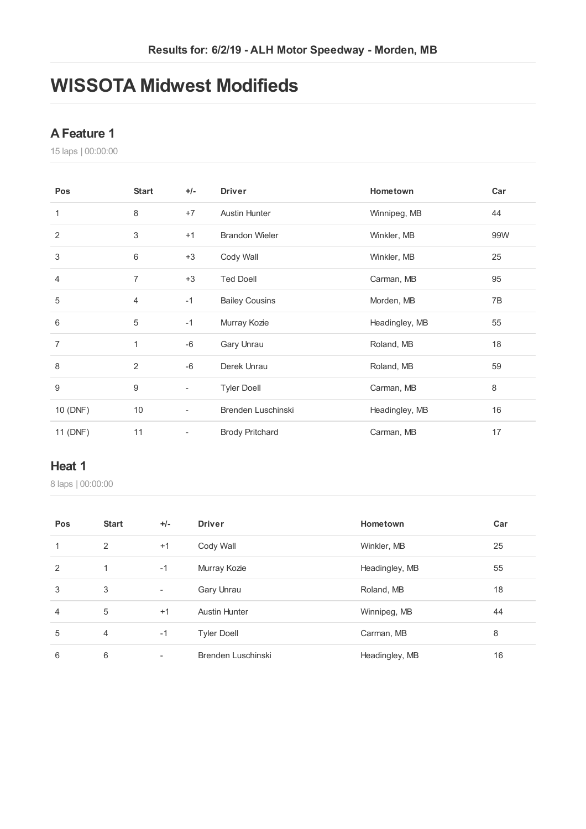# **WISSOTA Midwest Modifieds**

## **AFeature 1**

laps | 00:00:00

| Pos            | <b>Start</b>   | $+/-$                    | <b>Driver</b>          | Hometown       | Car |
|----------------|----------------|--------------------------|------------------------|----------------|-----|
| 1              | 8              | $+7$                     | <b>Austin Hunter</b>   | Winnipeg, MB   | 44  |
| $\overline{2}$ | 3              | $+1$                     | <b>Brandon Wieler</b>  | Winkler, MB    | 99W |
| 3              | 6              | $+3$                     | Cody Wall              | Winkler, MB    | 25  |
| 4              | $\overline{7}$ | $+3$                     | <b>Ted Doell</b>       | Carman, MB     | 95  |
| 5              | 4              | $-1$                     | <b>Bailey Cousins</b>  | Morden, MB     | 7B  |
| 6              | 5              | $-1$                     | Murray Kozie           | Headingley, MB | 55  |
| $\overline{7}$ | 1              | $-6$                     | Gary Unrau             | Roland, MB     | 18  |
| 8              | 2              | $-6$                     | Derek Unrau            | Roland, MB     | 59  |
| 9              | 9              | $\overline{\phantom{0}}$ | <b>Tyler Doell</b>     | Carman, MB     | 8   |
| 10 (DNF)       | 10             | $\overline{\phantom{a}}$ | Brenden Luschinski     | Headingley, MB | 16  |
| 11 (DNF)       | 11             | $\overline{\phantom{0}}$ | <b>Brody Pritchard</b> | Carman, MB     | 17  |

#### **Heat 1**

laps | 00:00:00

| Pos            | <b>Start</b>   | $+/-$                    | <b>Driver</b>        | Hometown       | Car |
|----------------|----------------|--------------------------|----------------------|----------------|-----|
| 1              | 2              | $+1$                     | Cody Wall            | Winkler, MB    | 25  |
| 2              | 1              | $-1$                     | Murray Kozie         | Headingley, MB | 55  |
| 3              | 3              | Ξ.                       | Gary Unrau           | Roland, MB     | 18  |
| $\overline{4}$ | 5              | $+1$                     | <b>Austin Hunter</b> | Winnipeg, MB   | 44  |
| 5              | $\overline{4}$ | $-1$                     | <b>Tyler Doell</b>   | Carman, MB     | 8   |
| 6              | 6              | $\overline{\phantom{a}}$ | Brenden Luschinski   | Headingley, MB | 16  |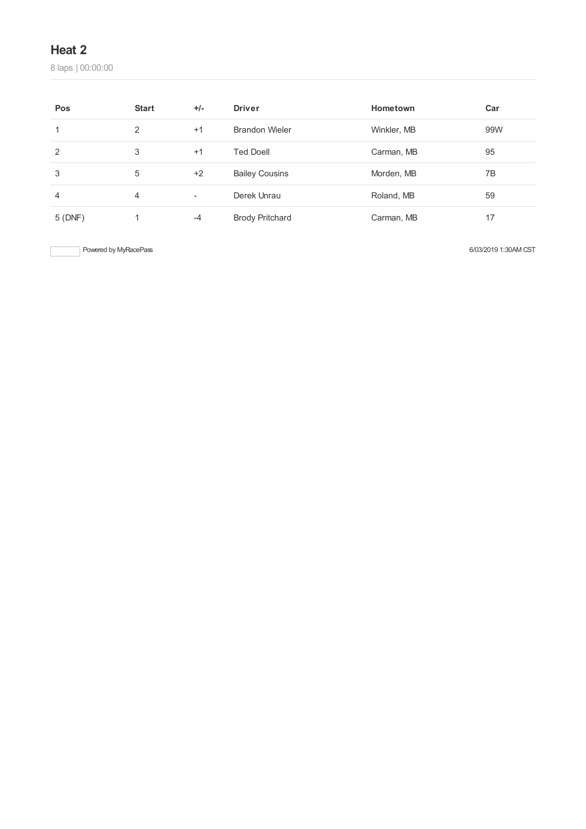### **Heat 2**

laps | 00:00:00

| Pos    | <b>Start</b> | $+/-$                    | <b>Driver</b>          | Hometown    | Car |
|--------|--------------|--------------------------|------------------------|-------------|-----|
| 1      | 2            | $+1$                     | <b>Brandon Wieler</b>  | Winkler, MB | 99W |
| 2      | 3            | $+1$                     | <b>Ted Doell</b>       | Carman, MB  | 95  |
| 3      | 5            | $+2$                     | <b>Bailey Cousins</b>  | Morden, MB  | 7B  |
| 4      | 4            | $\overline{\phantom{a}}$ | Derek Unrau            | Roland, MB  | 59  |
| 5(DNF) |              | $-4$                     | <b>Brody Pritchard</b> | Carman, MB  | 17  |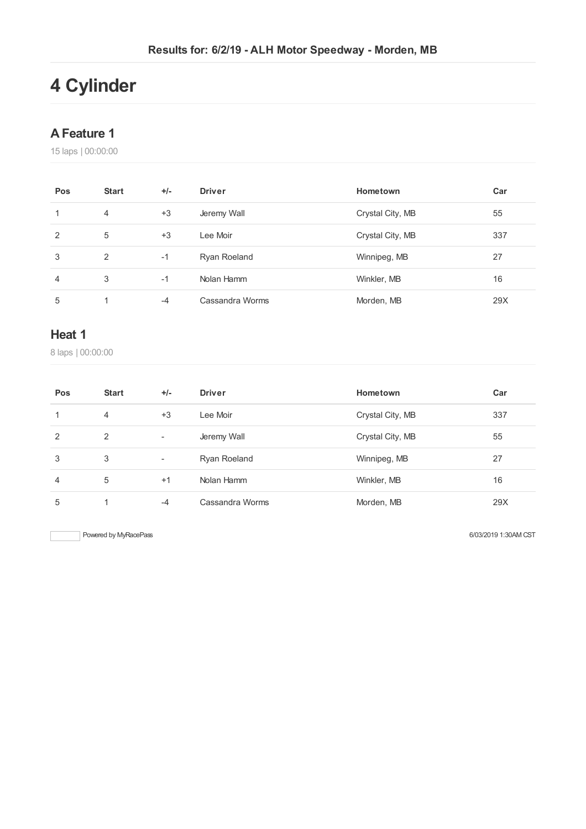# **Cylinder**

#### **AFeature 1**

laps | 00:00:00

| Pos | <b>Start</b> | $+/-$ | <b>Driver</b>   | Hometown         | Car |
|-----|--------------|-------|-----------------|------------------|-----|
| 1   | 4            | $+3$  | Jeremy Wall     | Crystal City, MB | 55  |
| 2   | 5            | $+3$  | Lee Moir        | Crystal City, MB | 337 |
| 3   | 2            | $-1$  | Ryan Roeland    | Winnipeg, MB     | 27  |
| 4   | 3            | $-1$  | Nolan Hamm      | Winkler, MB      | 16  |
| 5   |              | $-4$  | Cassandra Worms | Morden, MB       | 29X |

### **Heat 1**

laps | 00:00:00

| Pos            | <b>Start</b> | $+/-$                    | <b>Driver</b>   | Hometown         | Car |
|----------------|--------------|--------------------------|-----------------|------------------|-----|
| 1              | 4            | $+3$                     | Lee Moir        | Crystal City, MB | 337 |
| 2              | 2            | $\overline{\phantom{a}}$ | Jeremy Wall     | Crystal City, MB | 55  |
| 3              | 3            | $\overline{\phantom{a}}$ | Ryan Roeland    | Winnipeg, MB     | 27  |
| $\overline{4}$ | 5            | $+1$                     | Nolan Hamm      | Winkler, MB      | 16  |
| 5              | и            | $-4$                     | Cassandra Worms | Morden, MB       | 29X |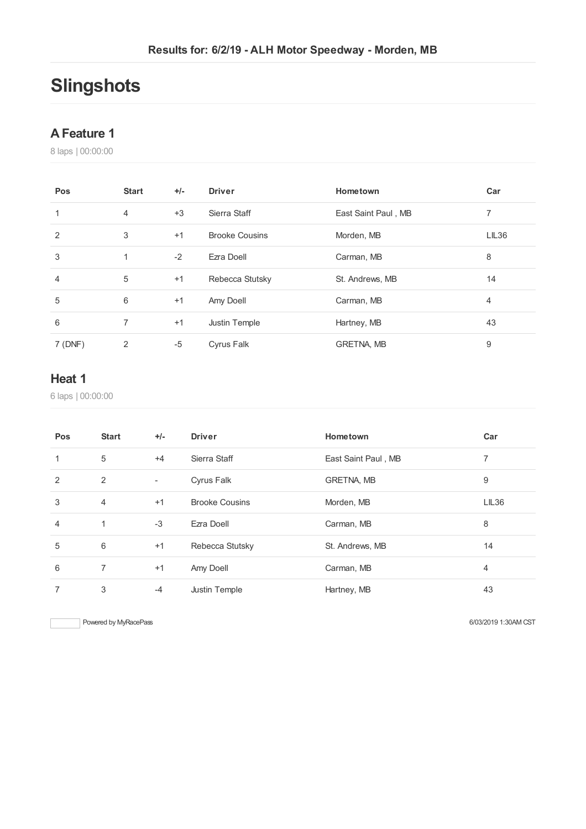# **Slingshots**

#### **AFeature 1**

laps | 00:00:00

| Pos            | <b>Start</b>   | $+/-$ | <b>Driver</b>         | Hometown            | Car   |
|----------------|----------------|-------|-----------------------|---------------------|-------|
| 1              | $\overline{4}$ | $+3$  | Sierra Staff          | East Saint Paul, MB | 7     |
| $\overline{2}$ | 3              | $+1$  | <b>Brooke Cousins</b> | Morden, MB          | LIL36 |
| 3              | 1              | $-2$  | Ezra Doell            | Carman, MB          | 8     |
| 4              | 5              | $+1$  | Rebecca Stutsky       | St. Andrews, MB     | 14    |
| 5              | 6              | $+1$  | Amy Doell             | Carman, MB          | 4     |
| 6              | 7              | $+1$  | Justin Temple         | Hartney, MB         | 43    |
| 7 (DNF)        | 2              | -5    | Cyrus Falk            | <b>GRETNA, MB</b>   | 9     |

## **Heat 1**

laps | 00:00:00

| Pos            | <b>Start</b>   | $+/-$                    | <b>Driver</b>         | Hometown            | Car   |
|----------------|----------------|--------------------------|-----------------------|---------------------|-------|
| 1              | 5              | $+4$                     | Sierra Staff          | East Saint Paul, MB |       |
| 2              | 2              | $\overline{\phantom{a}}$ | Cyrus Falk            | <b>GRETNA, MB</b>   | 9     |
| 3              | $\overline{4}$ | $+1$                     | <b>Brooke Cousins</b> | Morden, MB          | LIL36 |
| $\overline{4}$ | 1              | $-3$                     | Ezra Doell            | Carman, MB          | 8     |
| 5              | 6              | $+1$                     | Rebecca Stutsky       | St. Andrews, MB     | 14    |
| 6              | 7              | $+1$                     | Amy Doell             | Carman, MB          | 4     |
| 7              | 3              | $-4$                     | Justin Temple         | Hartney, MB         | 43    |